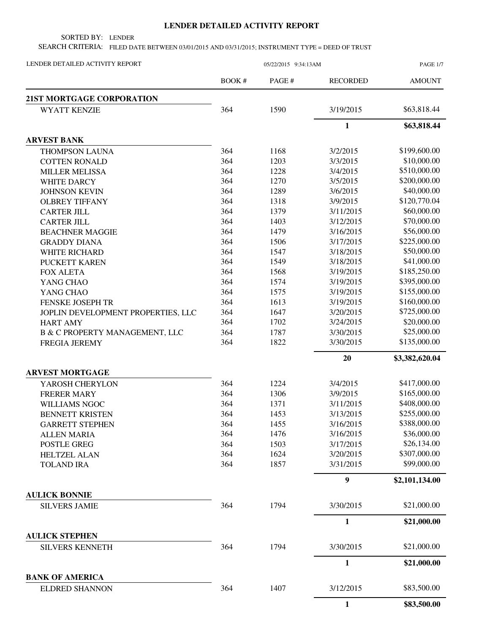## **LENDER DETAILED ACTIVITY REPORT**

SORTED BY: LENDER

SEARCH CRITERIA: FILED DATE BETWEEN 03/01/2015 AND 03/31/2015; INSTRUMENT TYPE = DEED OF TRUST

| LENDER DETAILED ACTIVITY REPORT                 | 05/22/2015 9:34:13AM |        |                 | <b>PAGE 1/7</b> |
|-------------------------------------------------|----------------------|--------|-----------------|-----------------|
|                                                 | BOOK#                | PAGE # | <b>RECORDED</b> | <b>AMOUNT</b>   |
| 21ST MORTGAGE CORPORATION                       |                      |        |                 |                 |
| <b>WYATT KENZIE</b>                             | 364                  | 1590   | 3/19/2015       | \$63,818.44     |
|                                                 |                      |        | 1               | \$63,818.44     |
| <b>ARVEST BANK</b>                              |                      |        |                 |                 |
| <b>THOMPSON LAUNA</b>                           | 364                  | 1168   | 3/2/2015        | \$199,600.00    |
| <b>COTTEN RONALD</b>                            | 364                  | 1203   | 3/3/2015        | \$10,000.00     |
| <b>MILLER MELISSA</b>                           | 364                  | 1228   | 3/4/2015        | \$510,000.00    |
| <b>WHITE DARCY</b>                              | 364                  | 1270   | 3/5/2015        | \$200,000.00    |
| <b>JOHNSON KEVIN</b>                            | 364                  | 1289   | 3/6/2015        | \$40,000.00     |
| <b>OLBREY TIFFANY</b>                           | 364                  | 1318   | 3/9/2015        | \$120,770.04    |
| <b>CARTER JILL</b>                              | 364                  | 1379   | 3/11/2015       | \$60,000.00     |
| <b>CARTER JILL</b>                              | 364                  | 1403   | 3/12/2015       | \$70,000.00     |
| <b>BEACHNER MAGGIE</b>                          | 364                  | 1479   | 3/16/2015       | \$56,000.00     |
| <b>GRADDY DIANA</b>                             | 364                  | 1506   | 3/17/2015       | \$225,000.00    |
| WHITE RICHARD                                   | 364                  | 1547   | 3/18/2015       | \$50,000.00     |
| PUCKETT KAREN                                   | 364                  | 1549   | 3/18/2015       | \$41,000.00     |
| <b>FOX ALETA</b>                                | 364                  | 1568   | 3/19/2015       | \$185,250.00    |
| YANG CHAO                                       | 364                  | 1574   | 3/19/2015       | \$395,000.00    |
| YANG CHAO                                       | 364                  | 1575   | 3/19/2015       | \$155,000.00    |
| FENSKE JOSEPH TR                                | 364                  | 1613   | 3/19/2015       | \$160,000.00    |
| JOPLIN DEVELOPMENT PROPERTIES, LLC              | 364                  | 1647   | 3/20/2015       | \$725,000.00    |
| <b>HART AMY</b>                                 | 364                  | 1702   | 3/24/2015       | \$20,000.00     |
| <b>B &amp; C PROPERTY MANAGEMENT, LLC</b>       | 364                  | 1787   | 3/30/2015       | \$25,000.00     |
| <b>FREGIA JEREMY</b>                            | 364                  | 1822   | 3/30/2015       | \$135,000.00    |
|                                                 |                      |        | 20              | \$3,382,620.04  |
| <b>ARVEST MORTGAGE</b>                          |                      |        |                 |                 |
| YAROSH CHERYLON                                 | 364                  | 1224   | 3/4/2015        | \$417,000.00    |
| <b>FRERER MARY</b>                              | 364                  | 1306   | 3/9/2015        | \$165,000.00    |
| <b>WILLIAMS NGOC</b>                            | 364                  | 1371   | 3/11/2015       | \$408,000.00    |
| <b>BENNETT KRISTEN</b>                          | 364                  | 1453   | 3/13/2015       | \$255,000.00    |
| <b>GARRETT STEPHEN</b>                          | 364                  | 1455   | 3/16/2015       | \$388,000.00    |
| <b>ALLEN MARIA</b>                              | 364                  | 1476   | 3/16/2015       | \$36,000.00     |
| POSTLE GREG                                     | 364                  | 1503   | 3/17/2015       | \$26,134.00     |
| <b>HELTZEL ALAN</b>                             | 364                  | 1624   | 3/20/2015       | \$307,000.00    |
| <b>TOLAND IRA</b>                               | 364                  | 1857   | 3/31/2015       | \$99,000.00     |
|                                                 |                      |        | 9               | \$2,101,134.00  |
| <b>AULICK BONNIE</b>                            |                      |        |                 |                 |
| <b>SILVERS JAMIE</b>                            | 364                  | 1794   | 3/30/2015       | \$21,000.00     |
|                                                 |                      |        | 1               | \$21,000.00     |
| <b>AULICK STEPHEN</b><br><b>SILVERS KENNETH</b> | 364                  | 1794   | 3/30/2015       | \$21,000.00     |
|                                                 |                      |        | 1               | \$21,000.00     |
| <b>BANK OF AMERICA</b>                          |                      |        |                 |                 |
| <b>ELDRED SHANNON</b>                           | 364                  | 1407   | 3/12/2015       | \$83,500.00     |
|                                                 |                      |        | $\mathbf{1}$    | \$83,500.00     |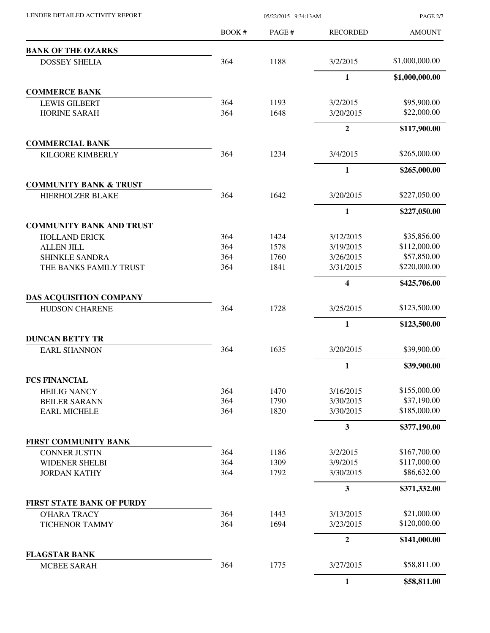| LENDER DETAILED ACTIVITY REPORT |  |
|---------------------------------|--|

05/22/2015 9:34:13AM

PAGE 2/7

|                                   | BOOK# | PAGE# | <b>RECORDED</b>         | <b>AMOUNT</b>  |
|-----------------------------------|-------|-------|-------------------------|----------------|
| <b>BANK OF THE OZARKS</b>         |       |       |                         |                |
| <b>DOSSEY SHELIA</b>              | 364   | 1188  | 3/2/2015                | \$1,000,000.00 |
|                                   |       |       | $\mathbf{1}$            | \$1,000,000.00 |
| <b>COMMERCE BANK</b>              |       |       |                         |                |
| <b>LEWIS GILBERT</b>              | 364   | 1193  | 3/2/2015                | \$95,900.00    |
| HORINE SARAH                      | 364   | 1648  | 3/20/2015               | \$22,000.00    |
|                                   |       |       | $\overline{2}$          | \$117,900.00   |
| <b>COMMERCIAL BANK</b>            |       |       |                         |                |
| <b>KILGORE KIMBERLY</b>           | 364   | 1234  | 3/4/2015                | \$265,000.00   |
|                                   |       |       | 1                       | \$265,000.00   |
| <b>COMMUNITY BANK &amp; TRUST</b> |       |       |                         |                |
| <b>HIERHOLZER BLAKE</b>           | 364   | 1642  | 3/20/2015               | \$227,050.00   |
|                                   |       |       | $\mathbf{1}$            | \$227,050.00   |
| <b>COMMUNITY BANK AND TRUST</b>   |       |       |                         |                |
| <b>HOLLAND ERICK</b>              | 364   | 1424  | 3/12/2015               | \$35,856.00    |
| <b>ALLEN JILL</b>                 | 364   | 1578  | 3/19/2015               | \$112,000.00   |
| <b>SHINKLE SANDRA</b>             | 364   | 1760  | 3/26/2015               | \$57,850.00    |
| THE BANKS FAMILY TRUST            | 364   | 1841  | 3/31/2015               | \$220,000.00   |
|                                   |       |       | 4                       | \$425,706.00   |
| DAS ACQUISITION COMPANY           |       |       |                         |                |
| <b>HUDSON CHARENE</b>             | 364   | 1728  | 3/25/2015               | \$123,500.00   |
|                                   |       |       | 1                       | \$123,500.00   |
| <b>DUNCAN BETTY TR</b>            |       |       |                         |                |
| <b>EARL SHANNON</b>               | 364   | 1635  | 3/20/2015               | \$39,900.00    |
|                                   |       |       | $\mathbf{1}$            | \$39,900.00    |
| <b>FCS FINANCIAL</b>              |       |       |                         |                |
| <b>HEILIG NANCY</b>               | 364   | 1470  | 3/16/2015               | \$155,000.00   |
| <b>BEILER SARANN</b>              | 364   | 1790  | 3/30/2015               | \$37,190.00    |
| <b>EARL MICHELE</b>               | 364   | 1820  | 3/30/2015               | \$185,000.00   |
|                                   |       |       | $\overline{\mathbf{3}}$ | \$377,190.00   |
| <b>FIRST COMMUNITY BANK</b>       |       |       |                         |                |
| <b>CONNER JUSTIN</b>              | 364   | 1186  | 3/2/2015                | \$167,700.00   |
| <b>WIDENER SHELBI</b>             | 364   | 1309  | 3/9/2015                | \$117,000.00   |
| <b>JORDAN KATHY</b>               | 364   | 1792  | 3/30/2015               | \$86,632.00    |
|                                   |       |       | 3                       | \$371,332.00   |
| <b>FIRST STATE BANK OF PURDY</b>  |       |       |                         |                |
| <b>O'HARA TRACY</b>               | 364   | 1443  | 3/13/2015               | \$21,000.00    |
| <b>TICHENOR TAMMY</b>             | 364   | 1694  | 3/23/2015               | \$120,000.00   |
|                                   |       |       | $\mathbf{2}$            | \$141,000.00   |
| <b>FLAGSTAR BANK</b>              |       |       |                         |                |
| <b>MCBEE SARAH</b>                | 364   | 1775  | 3/27/2015               | \$58,811.00    |
|                                   |       |       | $\mathbf{1}$            | \$58,811.00    |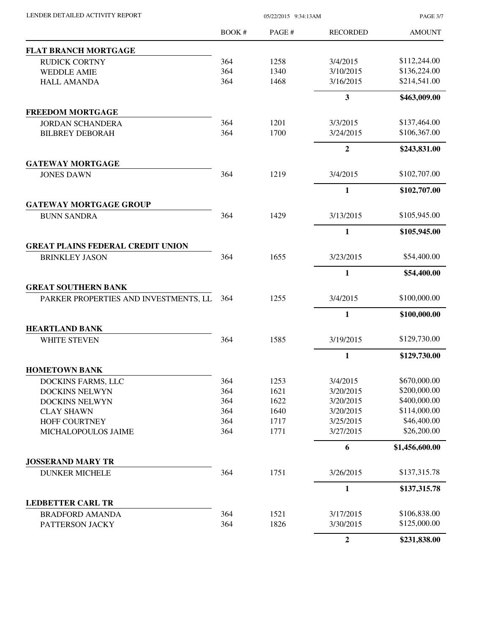| LENDER DETAILED ACTIVITY REPORT |  |
|---------------------------------|--|
|                                 |  |

05/22/2015 9:34:13AM

PAGE 3/7

|                                           | BOOK #     | PAGE #       | <b>RECORDED</b>         | <b>AMOUNT</b>  |
|-------------------------------------------|------------|--------------|-------------------------|----------------|
| <b>FLAT BRANCH MORTGAGE</b>               |            |              |                         |                |
| <b>RUDICK CORTNY</b>                      | 364        | 1258         | 3/4/2015                | \$112,244.00   |
| <b>WEDDLE AMIE</b>                        | 364        | 1340         | 3/10/2015               | \$136,224.00   |
| <b>HALL AMANDA</b>                        | 364        | 1468         | 3/16/2015               | \$214,541.00   |
|                                           |            |              | $\overline{\mathbf{3}}$ | \$463,009.00   |
| <b>FREEDOM MORTGAGE</b>                   |            |              |                         |                |
| <b>JORDAN SCHANDERA</b>                   | 364        | 1201         | 3/3/2015                | \$137,464.00   |
| <b>BILBREY DEBORAH</b>                    | 364        | 1700         | 3/24/2015               | \$106,367.00   |
|                                           |            |              | $\boldsymbol{2}$        | \$243,831.00   |
| <b>GATEWAY MORTGAGE</b>                   |            |              |                         |                |
| <b>JONES DAWN</b>                         | 364        | 1219         | 3/4/2015                | \$102,707.00   |
|                                           |            |              | 1                       | \$102,707.00   |
| <b>GATEWAY MORTGAGE GROUP</b>             |            |              |                         |                |
| <b>BUNN SANDRA</b>                        | 364        | 1429         | 3/13/2015               | \$105,945.00   |
|                                           |            |              | $\mathbf{1}$            | \$105,945.00   |
| <b>GREAT PLAINS FEDERAL CREDIT UNION</b>  |            |              |                         |                |
| <b>BRINKLEY JASON</b>                     | 364        | 1655         | 3/23/2015               | \$54,400.00    |
|                                           |            |              | 1                       | \$54,400.00    |
| <b>GREAT SOUTHERN BANK</b>                | 364        | 1255         | 3/4/2015                | \$100,000.00   |
| PARKER PROPERTIES AND INVESTMENTS, LL     |            |              |                         |                |
|                                           |            |              | 1                       | \$100,000.00   |
| <b>HEARTLAND BANK</b>                     |            |              |                         |                |
| WHITE STEVEN                              | 364        | 1585         | 3/19/2015               | \$129,730.00   |
|                                           |            |              | $\mathbf{1}$            | \$129,730.00   |
| <b>HOMETOWN BANK</b>                      |            |              |                         |                |
| DOCKINS FARMS, LLC                        | 364        | 1253         | 3/4/2015                | \$670,000.00   |
| DOCKINS NELWYN                            | 364        | 1621         | 3/20/2015               | \$200,000.00   |
| <b>DOCKINS NELWYN</b>                     | 364        | 1622         | 3/20/2015               | \$400,000.00   |
| <b>CLAY SHAWN</b>                         | 364        | 1640         | 3/20/2015               | \$114,000.00   |
| <b>HOFF COURTNEY</b>                      | 364        | 1717         | 3/25/2015               | \$46,400.00    |
| MICHALOPOULOS JAIME                       | 364        | 1771         | 3/27/2015               | \$26,200.00    |
|                                           |            |              | 6                       | \$1,456,600.00 |
| <b>JOSSERAND MARY TR</b>                  |            |              |                         |                |
| <b>DUNKER MICHELE</b>                     | 364        | 1751         | 3/26/2015               | \$137,315.78   |
|                                           |            |              | 1                       | \$137,315.78   |
| <b>LEDBETTER CARL TR</b>                  |            |              |                         | \$106,838.00   |
| <b>BRADFORD AMANDA</b><br>PATTERSON JACKY | 364<br>364 | 1521<br>1826 | 3/17/2015<br>3/30/2015  | \$125,000.00   |
|                                           |            |              |                         |                |
|                                           |            |              | $\boldsymbol{2}$        | \$231,838.00   |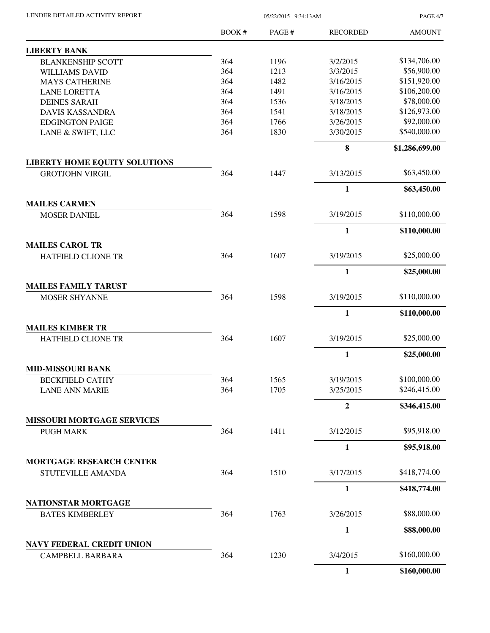| LENDER DETAILED ACTIVITY REPORT | 05/22/2015 9:34:13AM |  |
|---------------------------------|----------------------|--|
|                                 |                      |  |

PAGE 4/7

|                                               | <b>BOOK#</b> | PAGE # | <b>RECORDED</b>  | <b>AMOUNT</b>  |
|-----------------------------------------------|--------------|--------|------------------|----------------|
| <b>LIBERTY BANK</b>                           |              |        |                  |                |
| <b>BLANKENSHIP SCOTT</b>                      | 364          | 1196   | 3/2/2015         | \$134,706.00   |
| <b>WILLIAMS DAVID</b>                         | 364          | 1213   | 3/3/2015         | \$56,900.00    |
| <b>MAYS CATHERINE</b>                         | 364          | 1482   | 3/16/2015        | \$151,920.00   |
| <b>LANE LORETTA</b>                           | 364          | 1491   | 3/16/2015        | \$106,200.00   |
| <b>DEINES SARAH</b>                           | 364          | 1536   | 3/18/2015        | \$78,000.00    |
| <b>DAVIS KASSANDRA</b>                        | 364          | 1541   | 3/18/2015        | \$126,973.00   |
| <b>EDGINGTON PAIGE</b>                        | 364          | 1766   | 3/26/2015        | \$92,000.00    |
| LANE & SWIFT, LLC                             | 364          | 1830   | 3/30/2015        | \$540,000.00   |
|                                               |              |        | 8                | \$1,286,699.00 |
| <b>LIBERTY HOME EQUITY SOLUTIONS</b>          |              |        |                  |                |
| <b>GROTJOHN VIRGIL</b>                        | 364          | 1447   | 3/13/2015        | \$63,450.00    |
|                                               |              |        | $\mathbf{1}$     | \$63,450.00    |
| <b>MAILES CARMEN</b><br><b>MOSER DANIEL</b>   | 364          | 1598   | 3/19/2015        | \$110,000.00   |
|                                               |              |        | $\mathbf{1}$     | \$110,000.00   |
| <b>MAILES CAROL TR</b>                        |              |        |                  |                |
| <b>HATFIELD CLIONE TR</b>                     | 364          | 1607   | 3/19/2015        | \$25,000.00    |
|                                               |              |        | $\mathbf{1}$     | \$25,000.00    |
| <b>MAILES FAMILY TARUST</b>                   |              |        |                  |                |
| <b>MOSER SHYANNE</b>                          | 364          | 1598   | 3/19/2015        | \$110,000.00   |
|                                               |              |        | $\mathbf{1}$     | \$110,000.00   |
| <b>MAILES KIMBER TR</b>                       |              |        |                  |                |
| <b>HATFIELD CLIONE TR</b>                     | 364          | 1607   | 3/19/2015        | \$25,000.00    |
|                                               |              |        | $\mathbf{1}$     | \$25,000.00    |
| <b>MID-MISSOURI BANK</b>                      |              |        |                  |                |
| <b>BECKFIELD CATHY</b>                        | 364          | 1565   | 3/19/2015        | \$100,000.00   |
| <b>LANE ANN MARIE</b>                         | 364          | 1705   | 3/25/2015        | \$246,415.00   |
|                                               |              |        | $\boldsymbol{2}$ | \$346,415.00   |
| <b>MISSOURI MORTGAGE SERVICES</b>             |              |        |                  |                |
| <b>PUGH MARK</b>                              | 364          | 1411   | 3/12/2015        | \$95,918.00    |
|                                               |              |        | $\mathbf{1}$     | \$95,918.00    |
| MORTGAGE RESEARCH CENTER                      |              |        |                  |                |
| STUTEVILLE AMANDA                             | 364          | 1510   | 3/17/2015        | \$418,774.00   |
|                                               |              |        | $\mathbf{1}$     | \$418,774.00   |
| NATIONSTAR MORTGAGE<br><b>BATES KIMBERLEY</b> | 364          | 1763   | 3/26/2015        | \$88,000.00    |
|                                               |              |        | $\mathbf{1}$     | \$88,000.00    |
| <b>NAVY FEDERAL CREDIT UNION</b>              |              |        |                  |                |
| <b>CAMPBELL BARBARA</b>                       | 364          | 1230   | 3/4/2015         | \$160,000.00   |
|                                               |              |        | $\mathbf{1}$     | \$160,000.00   |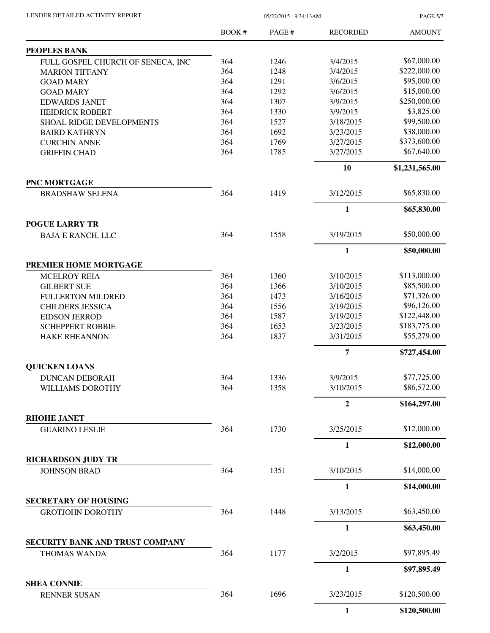PAGE 5/7

|                                                   | BOOK# | PAGE# | <b>RECORDED</b>           | <b>AMOUNT</b>  |
|---------------------------------------------------|-------|-------|---------------------------|----------------|
| PEOPLES BANK                                      |       |       |                           |                |
| FULL GOSPEL CHURCH OF SENECA, INC                 | 364   | 1246  | 3/4/2015                  | \$67,000.00    |
| <b>MARION TIFFANY</b>                             | 364   | 1248  | 3/4/2015                  | \$222,000.00   |
| <b>GOAD MARY</b>                                  | 364   | 1291  | 3/6/2015                  | \$95,000.00    |
| <b>GOAD MARY</b>                                  | 364   | 1292  | 3/6/2015                  | \$15,000.00    |
| <b>EDWARDS JANET</b>                              | 364   | 1307  | 3/9/2015                  | \$250,000.00   |
| <b>HEIDRICK ROBERT</b>                            | 364   | 1330  | 3/9/2015                  | \$3,825.00     |
| SHOAL RIDGE DEVELOPMENTS                          | 364   | 1527  | 3/18/2015                 | \$99,500.00    |
| <b>BAIRD KATHRYN</b>                              | 364   | 1692  | 3/23/2015                 | \$38,000.00    |
| <b>CURCHIN ANNE</b>                               | 364   | 1769  | 3/27/2015                 | \$373,600.00   |
| <b>GRIFFIN CHAD</b>                               | 364   | 1785  | 3/27/2015                 | \$67,640.00    |
|                                                   |       |       | 10                        | \$1,231,565.00 |
| PNC MORTGAGE                                      |       |       |                           |                |
| <b>BRADSHAW SELENA</b>                            | 364   | 1419  | 3/12/2015                 | \$65,830.00    |
|                                                   |       |       | $\mathbf{1}$              | \$65,830.00    |
| <b>POGUE LARRY TR</b><br><b>BAJA E RANCH, LLC</b> | 364   | 1558  | 3/19/2015                 | \$50,000.00    |
|                                                   |       |       | $\mathbf{1}$              | \$50,000.00    |
| PREMIER HOME MORTGAGE                             |       |       |                           |                |
|                                                   | 364   | 1360  | 3/10/2015                 | \$113,000.00   |
| <b>MCELROY REIA</b>                               | 364   |       |                           | \$85,500.00    |
| <b>GILBERT SUE</b>                                |       | 1366  | 3/10/2015                 |                |
| <b>FULLERTON MILDRED</b>                          | 364   | 1473  | 3/16/2015                 | \$71,326.00    |
| <b>CHILDERS JESSICA</b>                           | 364   | 1556  | 3/19/2015                 | \$96,126.00    |
| <b>EIDSON JERROD</b>                              | 364   | 1587  | 3/19/2015                 | \$122,448.00   |
| <b>SCHEPPERT ROBBIE</b>                           | 364   | 1653  | 3/23/2015                 | \$183,775.00   |
| <b>HAKE RHEANNON</b>                              | 364   | 1837  | 3/31/2015                 | \$55,279.00    |
|                                                   |       |       | $\overline{7}$            | \$727,454.00   |
| <b>QUICKEN LOANS</b>                              |       |       |                           |                |
| <b>DUNCAN DEBORAH</b>                             | 364   | 1336  | 3/9/2015                  | \$77,725.00    |
| WILLIAMS DOROTHY                                  | 364   | 1358  | 3/10/2015                 | \$86,572.00    |
|                                                   |       |       | $\boldsymbol{2}$          | \$164,297.00   |
| <b>RHOHE JANET</b>                                | 364   | 1730  |                           | \$12,000.00    |
| <b>GUARINO LESLIE</b>                             |       |       | 3/25/2015<br>$\mathbf{1}$ |                |
| <b>RICHARDSON JUDY TR</b>                         |       |       |                           | \$12,000.00    |
| <b>JOHNSON BRAD</b>                               | 364   | 1351  | 3/10/2015                 | \$14,000.00    |
|                                                   |       |       | $\mathbf{1}$              | \$14,000.00    |
| <b>SECRETARY OF HOUSING</b>                       |       |       |                           |                |
| <b>GROTJOHN DOROTHY</b>                           | 364   | 1448  | 3/13/2015                 | \$63,450.00    |
|                                                   |       |       | $\mathbf{1}$              | \$63,450.00    |
| SECURITY BANK AND TRUST COMPANY                   |       |       |                           |                |
| <b>THOMAS WANDA</b>                               | 364   | 1177  | 3/2/2015                  | \$97,895.49    |
|                                                   |       |       | $\mathbf{1}$              | \$97,895.49    |
| <b>SHEA CONNIE</b>                                |       |       |                           |                |
| <b>RENNER SUSAN</b>                               | 364   | 1696  | 3/23/2015                 | \$120,500.00   |
|                                                   |       |       | $\mathbf{1}$              | \$120,500.00   |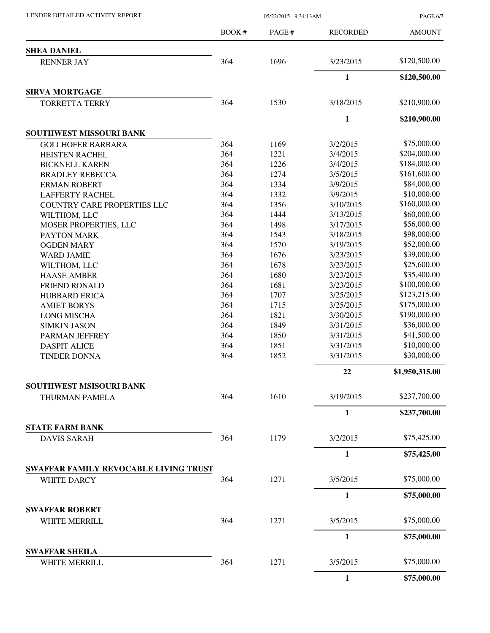LENDER DETAILED ACTIVITY REPORT 05/22/2015 9:34:13AM

PAGE 6/7

|                                              | BOOK#      | PAGE#        | <b>RECORDED</b>      | <b>AMOUNT</b>  |
|----------------------------------------------|------------|--------------|----------------------|----------------|
| <b>SHEA DANIEL</b>                           |            |              |                      |                |
| <b>RENNER JAY</b>                            | 364        | 1696         | 3/23/2015            | \$120,500.00   |
|                                              |            |              | $\mathbf{1}$         | \$120,500.00   |
| <b>SIRVA MORTGAGE</b>                        |            |              |                      |                |
| <b>TORRETTA TERRY</b>                        | 364        | 1530         | 3/18/2015            | \$210,900.00   |
|                                              |            |              | $\mathbf{1}$         | \$210,900.00   |
| <b>SOUTHWEST MISSOURI BANK</b>               |            |              |                      | \$75,000.00    |
| <b>GOLLHOFER BARBARA</b>                     | 364<br>364 | 1169<br>1221 | 3/2/2015<br>3/4/2015 | \$204,000.00   |
| <b>HEISTEN RACHEL</b>                        | 364        | 1226         |                      | \$184,000.00   |
| <b>BICKNELL KAREN</b>                        | 364        |              | 3/4/2015             | \$161,600.00   |
| <b>BRADLEY REBECCA</b>                       |            | 1274         | 3/5/2015             | \$84,000.00    |
| <b>ERMAN ROBERT</b>                          | 364        | 1334         | 3/9/2015             |                |
| <b>LAFFERTY RACHEL</b>                       | 364        | 1332         | 3/9/2015             | \$10,000.00    |
| <b>COUNTRY CARE PROPERTIES LLC</b>           | 364        | 1356         | 3/10/2015            | \$160,000.00   |
| WILTHOM, LLC                                 | 364        | 1444         | 3/13/2015            | \$60,000.00    |
| MOSER PROPERTIES, LLC                        | 364        | 1498         | 3/17/2015            | \$56,000.00    |
| PAYTON MARK                                  | 364        | 1543         | 3/18/2015            | \$98,000.00    |
| <b>OGDEN MARY</b>                            | 364        | 1570         | 3/19/2015            | \$52,000.00    |
| <b>WARD JAMIE</b>                            | 364        | 1676         | 3/23/2015            | \$39,000.00    |
| WILTHOM, LLC                                 | 364        | 1678         | 3/23/2015            | \$25,600.00    |
| <b>HAASE AMBER</b>                           | 364        | 1680         | 3/23/2015            | \$35,400.00    |
| <b>FRIEND RONALD</b>                         | 364        | 1681         | 3/23/2015            | \$100,000.00   |
| <b>HUBBARD ERICA</b>                         | 364        | 1707         | 3/25/2015            | \$123,215.00   |
| <b>AMIET BORYS</b>                           | 364        | 1715         | 3/25/2015            | \$175,000.00   |
| <b>LONG MISCHA</b>                           | 364        | 1821         | 3/30/2015            | \$190,000.00   |
| <b>SIMKIN JASON</b>                          | 364        | 1849         | 3/31/2015            | \$36,000.00    |
| PARMAN JEFFREY                               | 364        | 1850         | 3/31/2015            | \$41,500.00    |
| <b>DASPIT ALICE</b>                          | 364        | 1851         | 3/31/2015            | \$10,000.00    |
| <b>TINDER DONNA</b>                          | 364        | 1852         | 3/31/2015            | \$30,000.00    |
|                                              |            |              | 22                   | \$1,950,315.00 |
| <b>SOUTHWEST MSISOURI BANK</b>               |            |              |                      |                |
| THURMAN PAMELA                               | 364        | 1610         | 3/19/2015            | \$237,700.00   |
|                                              |            |              | $\mathbf{1}$         | \$237,700.00   |
| <b>STATE FARM BANK</b><br><b>DAVIS SARAH</b> | 364        | 1179         | 3/2/2015             | \$75,425.00    |
|                                              |            |              | 1                    | \$75,425.00    |
| <b>SWAFFAR FAMILY REVOCABLE LIVING TRUST</b> |            |              |                      |                |
| <b>WHITE DARCY</b>                           | 364        | 1271         | 3/5/2015             | \$75,000.00    |
|                                              |            |              | $\mathbf{1}$         | \$75,000.00    |
| <b>SWAFFAR ROBERT</b>                        |            |              |                      |                |
| WHITE MERRILL                                | 364        | 1271         | 3/5/2015             | \$75,000.00    |
|                                              |            |              | $\mathbf{1}$         | \$75,000.00    |
| <b>SWAFFAR SHEILA</b><br>WHITE MERRILL       | 364        | 1271         | 3/5/2015             | \$75,000.00    |
|                                              |            |              | $\mathbf{1}$         | \$75,000.00    |
|                                              |            |              |                      |                |